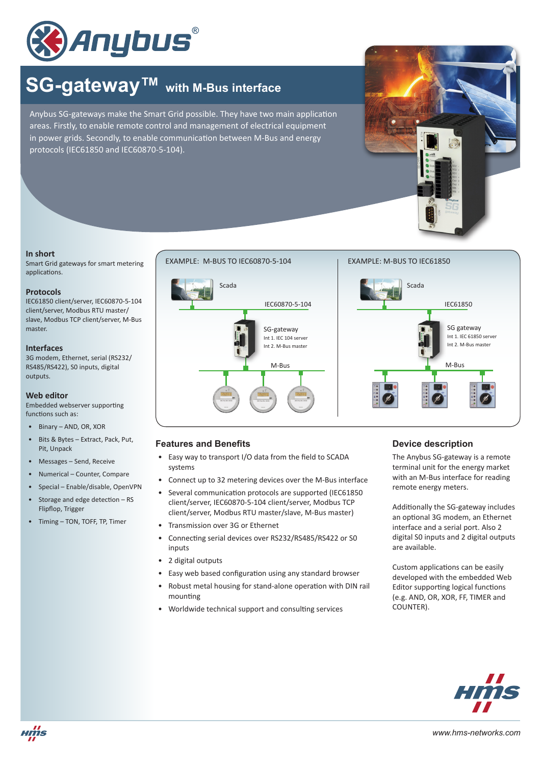

# **SG-gateway™ with M-Bus interface**

Anybus SG-gateways make the Smart Grid possible. They have two main application areas. Firstly, to enable remote control and management of electrical equipment in power grids. Secondly, to enable communication between M-Bus and energy protocols (IEC61850 and IEC60870-5-104).



### **In short**

Smart Grid gateways for smart metering applications.

#### **Protocols**

IEC61850 client/server, IEC60870-5-104 client/server, Modbus RTU master/ slave, Modbus TCP client/server, M-Bus master.

#### **Interfaces**

3G modem, Ethernet, serial (RS232/ RS485/RS422), S0 inputs, digital outputs.

## **Web editor**

Embedded webserver supporting functions such as:

- Binary AND, OR, XOR
- Bits & Bytes Extract, Pack, Put, Pit, Unpack
- Messages Send, Receive
- Numerical Counter, Compare
- Special Enable/disable, OpenVPN
- Storage and edge detection RS Flipflop, Trigger
- Timing TON, TOFF, TP, Timer





# **Features and Benefits**

- Easy way to transport I/O data from the field to SCADA systems
- Connect up to 32 metering devices over the M-Bus interface
- Several communication protocols are supported (IEC61850 client/server, IEC60870-5-104 client/server, Modbus TCP client/server, Modbus RTU master/slave, M-Bus master)
- Transmission over 3G or Ethernet
- Connecting serial devices over RS232/RS485/RS422 or S0 inputs
- 2 digital outputs
- Easy web based configuration using any standard browser
- Robust metal housing for stand-alone operation with DIN rail mounting
- Worldwide technical support and consulting services

# **Device description**

The Anybus SG-gateway is a remote terminal unit for the energy market with an M-Bus interface for reading remote energy meters.

Additionally the SG-gateway includes an optional 3G modem, an Ethernet interface and a serial port. Also 2 digital S0 inputs and 2 digital outputs are available.

Custom applications can be easily developed with the embedded Web Editor supporting logical functions (e.g. AND, OR, XOR, FF, TIMER and COUNTER).